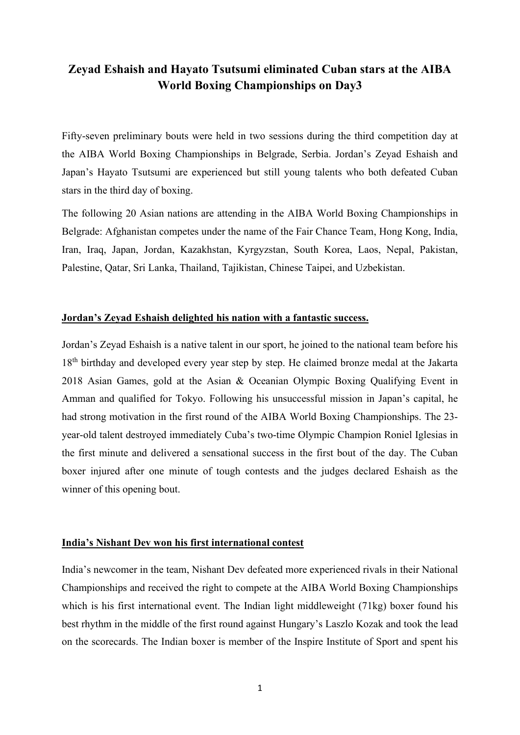## **Zeyad Eshaish and Hayato Tsutsumi eliminated Cuban stars at the AIBA World Boxing Championships on Day3**

Fifty-seven preliminary bouts were held in two sessions during the third competition day at the AIBA World Boxing Championships in Belgrade, Serbia. Jordan's Zeyad Eshaish and Japan's Hayato Tsutsumi are experienced but still young talents who both defeated Cuban stars in the third day of boxing.

The following 20 Asian nations are attending in the AIBA World Boxing Championships in Belgrade: Afghanistan competes under the name of the Fair Chance Team, Hong Kong, India, Iran, Iraq, Japan, Jordan, Kazakhstan, Kyrgyzstan, South Korea, Laos, Nepal, Pakistan, Palestine, Qatar, Sri Lanka, Thailand, Tajikistan, Chinese Taipei, and Uzbekistan.

## **Jordan's Zeyad Eshaish delighted his nation with a fantastic success.**

Jordan's Zeyad Eshaish is a native talent in our sport, he joined to the national team before his 18<sup>th</sup> birthday and developed every year step by step. He claimed bronze medal at the Jakarta 2018 Asian Games, gold at the Asian & Oceanian Olympic Boxing Qualifying Event in Amman and qualified for Tokyo. Following his unsuccessful mission in Japan's capital, he had strong motivation in the first round of the AIBA World Boxing Championships. The 23 year-old talent destroyed immediately Cuba's two-time Olympic Champion Roniel Iglesias in the first minute and delivered a sensational success in the first bout of the day. The Cuban boxer injured after one minute of tough contests and the judges declared Eshaish as the winner of this opening bout.

## **India's Nishant Dev won his first international contest**

India's newcomer in the team, Nishant Dev defeated more experienced rivals in their National Championships and received the right to compete at the AIBA World Boxing Championships which is his first international event. The Indian light middleweight (71kg) boxer found his best rhythm in the middle of the first round against Hungary's Laszlo Kozak and took the lead on the scorecards. The Indian boxer is member of the Inspire Institute of Sport and spent his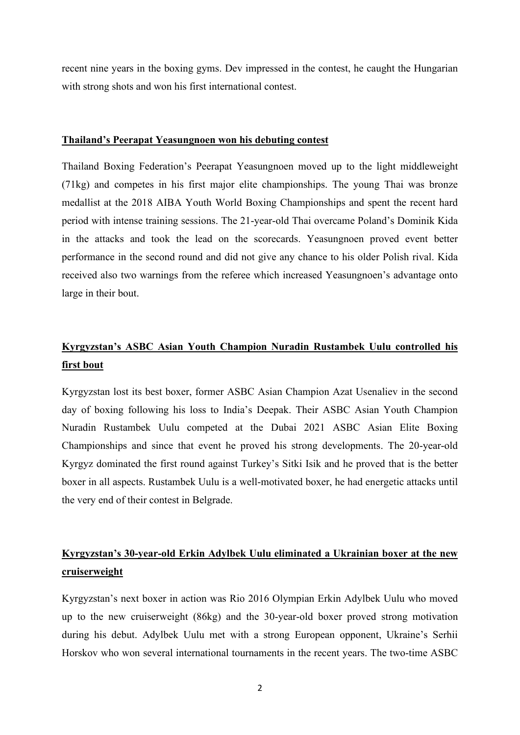recent nine years in the boxing gyms. Dev impressed in the contest, he caught the Hungarian with strong shots and won his first international contest.

## **Thailand's Peerapat Yeasungnoen won his debuting contest**

Thailand Boxing Federation's Peerapat Yeasungnoen moved up to the light middleweight (71kg) and competes in his first major elite championships. The young Thai was bronze medallist at the 2018 AIBA Youth World Boxing Championships and spent the recent hard period with intense training sessions. The 21-year-old Thai overcame Poland's Dominik Kida in the attacks and took the lead on the scorecards. Yeasungnoen proved event better performance in the second round and did not give any chance to his older Polish rival. Kida received also two warnings from the referee which increased Yeasungnoen's advantage onto large in their bout.

# **Kyrgyzstan's ASBC Asian Youth Champion Nuradin Rustambek Uulu controlled his first bout**

Kyrgyzstan lost its best boxer, former ASBC Asian Champion Azat Usenaliev in the second day of boxing following his loss to India's Deepak. Their ASBC Asian Youth Champion Nuradin Rustambek Uulu competed at the Dubai 2021 ASBC Asian Elite Boxing Championships and since that event he proved his strong developments. The 20-year-old Kyrgyz dominated the first round against Turkey's Sitki Isik and he proved that is the better boxer in all aspects. Rustambek Uulu is a well-motivated boxer, he had energetic attacks until the very end of their contest in Belgrade.

## **Kyrgyzstan's 30-year-old Erkin Adylbek Uulu eliminated a Ukrainian boxer at the new cruiserweight**

Kyrgyzstan's next boxer in action was Rio 2016 Olympian Erkin Adylbek Uulu who moved up to the new cruiserweight (86kg) and the 30-year-old boxer proved strong motivation during his debut. Adylbek Uulu met with a strong European opponent, Ukraine's Serhii Horskov who won several international tournaments in the recent years. The two-time ASBC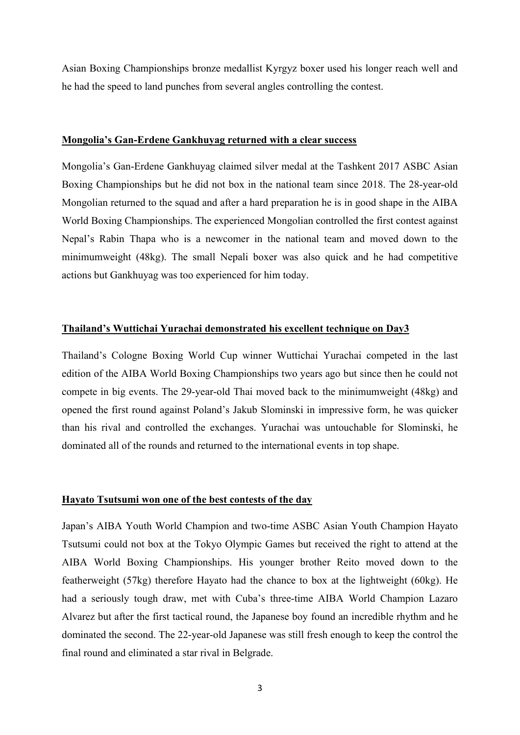Asian Boxing Championships bronze medallist Kyrgyz boxer used his longer reach well and he had the speed to land punches from several angles controlling the contest.

#### **Mongolia's Gan-Erdene Gankhuyag returned with a clear success**

Mongolia's Gan-Erdene Gankhuyag claimed silver medal at the Tashkent 2017 ASBC Asian Boxing Championships but he did not box in the national team since 2018. The 28-year-old Mongolian returned to the squad and after a hard preparation he is in good shape in the AIBA World Boxing Championships. The experienced Mongolian controlled the first contest against Nepal's Rabin Thapa who is a newcomer in the national team and moved down to the minimumweight (48kg). The small Nepali boxer was also quick and he had competitive actions but Gankhuyag was too experienced for him today.

### **Thailand's Wuttichai Yurachai demonstrated his excellent technique on Day3**

Thailand's Cologne Boxing World Cup winner Wuttichai Yurachai competed in the last edition of the AIBA World Boxing Championships two years ago but since then he could not compete in big events. The 29-year-old Thai moved back to the minimumweight (48kg) and opened the first round against Poland's Jakub Slominski in impressive form, he was quicker than his rival and controlled the exchanges. Yurachai was untouchable for Slominski, he dominated all of the rounds and returned to the international events in top shape.

#### **Hayato Tsutsumi won one of the best contests of the day**

Japan's AIBA Youth World Champion and two-time ASBC Asian Youth Champion Hayato Tsutsumi could not box at the Tokyo Olympic Games but received the right to attend at the AIBA World Boxing Championships. His younger brother Reito moved down to the featherweight (57kg) therefore Hayato had the chance to box at the lightweight (60kg). He had a seriously tough draw, met with Cuba's three-time AIBA World Champion Lazaro Alvarez but after the first tactical round, the Japanese boy found an incredible rhythm and he dominated the second. The 22-year-old Japanese was still fresh enough to keep the control the final round and eliminated a star rival in Belgrade.